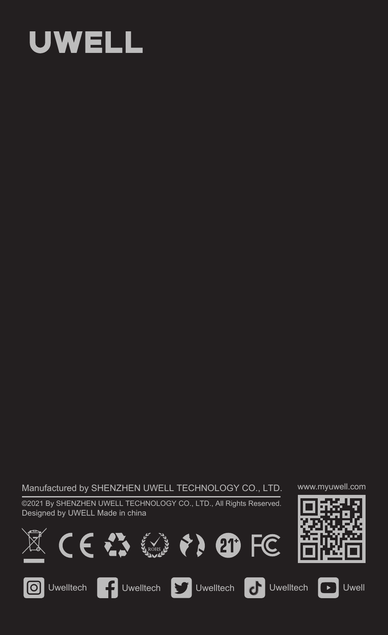# **UWELL**

Manufactured by SHENZHEN UWELL TECHNOLOGY CO., LTD.

©2021 By SHENZHEN UWELL TECHNOLOGY CO., LTD., All Rights Reserved. Designed by UWELL Made in china

















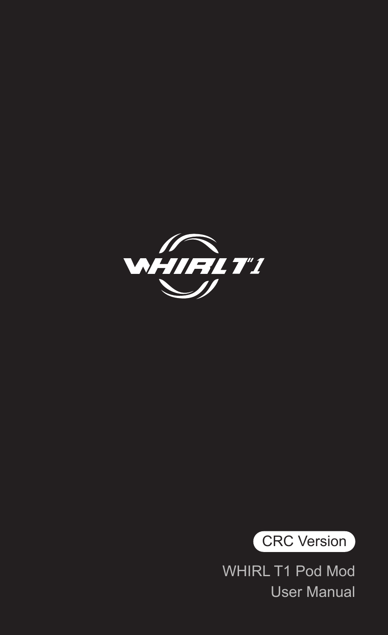



WHIRL T1 Pod Mod User Manual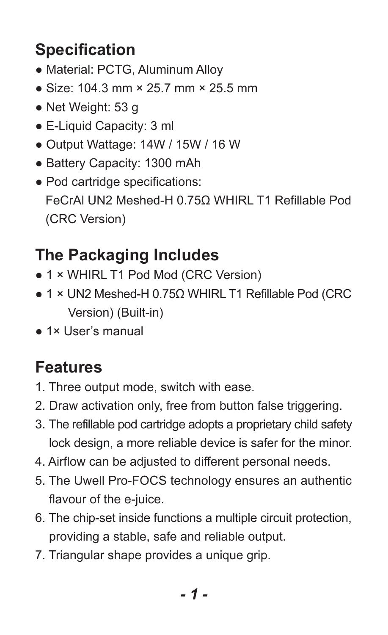## **Specification**

- Material: PCTG, Aluminum Alloy
- Size: 104.3 mm × 25.7 mm × 25.5 mm
- Net Weight: 53 g
- E-Liquid Capacity: 3 ml
- Output Wattage: 14W / 15W / 16 W
- Battery Capacity: 1300 mAh
- Pod cartridge specifications: FeCrAl UN2 Meshed-H 0.75Ω WHIRL T1 Refillable Pod (CRC Version)

## **The Packaging Includes**

- 1 × WHIRL T1 Pod Mod (CRC Version)
- 1 × UN2 Meshed-H 0.75Ω WHIRL T1 Refillable Pod (CRC Version) (Built-in)
- 1× User's manual

### **Features**

- 1. Three output mode, switch with ease.
- 2. Draw activation only, free from button false triggering.
- 3. The refillable pod cartridge adopts a proprietary child safety lock design, a more reliable device is safer for the minor.
- 4. Airflow can be adjusted to different personal needs.
- 5. The Uwell Pro-FOCS technology ensures an authentic flavour of the e-juice.
- 6. The chip-set inside functions a multiple circuit protection, providing a stable, safe and reliable output.
- 7. Triangular shape provides a unique grip.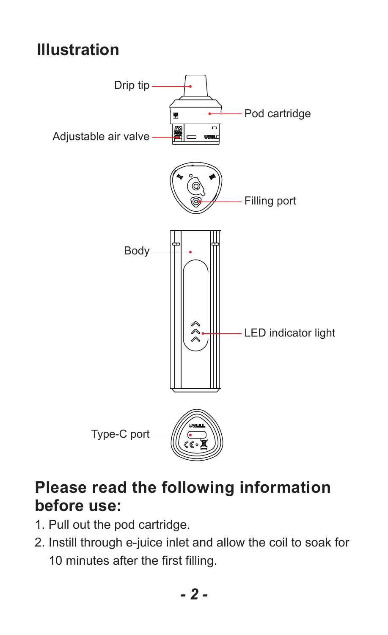#### **Illustration**



#### **Please read the following information before use:**

- 1. Pull out the pod cartridge.
- 2. Instill through e-juice inlet and allow the coil to soak for 10 minutes after the first filling.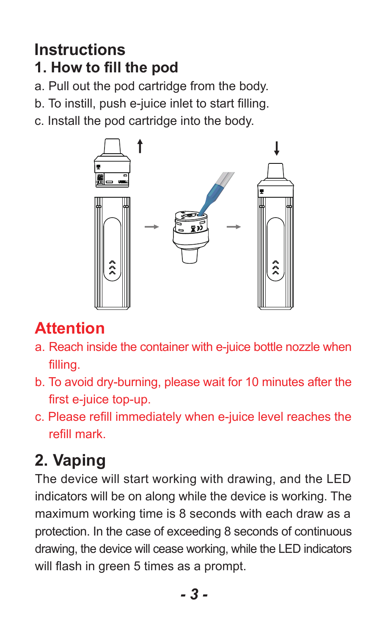#### **Instructions 1. How to fill the pod**

a. Pull out the pod cartridge from the body.

b. To instill, push e-juice inlet to start filling.

c. Install the pod cartridge into the body.



## **Attention**

- a. Reach inside the container with e-juice bottle nozzle when filling.
- b. To avoid dry-burning, please wait for 10 minutes after the first e-juice top-up.
- c. Please refill immediately when e-juice level reaches the refill mark.

# **2. Vaping**

The device will start working with drawing, and the LED indicators will be on along while the device is working. The maximum working time is 8 seconds with each draw as a protection. In the case of exceeding 8 seconds of continuous drawing, the device will cease working, while the LED indicators will flash in green 5 times as a prompt.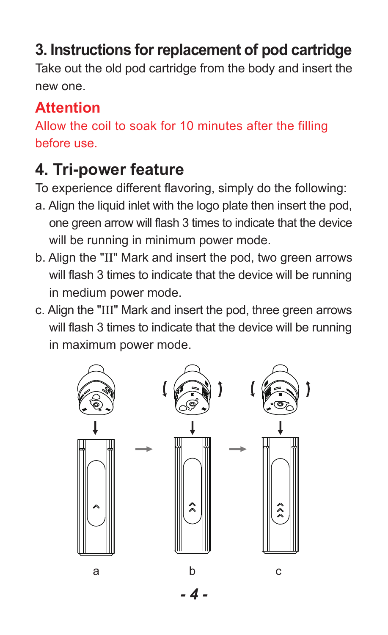#### **3. Instructions for replacement of pod cartridge**

Take out the old pod cartridge from the body and insert the new one.

#### **Attention**

Allow the coil to soak for 10 minutes after the filling before use.

## **4. Tri-power feature**

To experience different flavoring, simply do the following:

- a. Align the liquid inlet with the logo plate then insert the pod, one green arrow will flash 3 times to indicate that the device will be running in minimum power mode.
- b. Align the "II" Mark and insert the pod, two green arrows will flash 3 times to indicate that the device will be running in medium power mode.
- c. Align the "III" Mark and insert the pod, three green arrows will flash 3 times to indicate that the device will be running in maximum power mode.

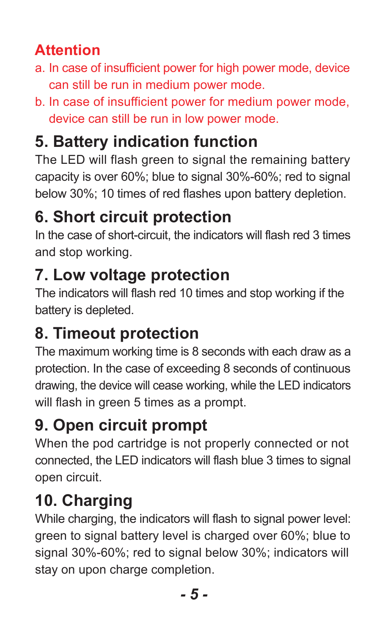#### **Attention**

- a. In case of insufficient power for high power mode, device can still be run in medium power mode.
- b. In case of insufficient power for medium power mode, device can still be run in low power mode.

# **5. Battery indication function**

The LED will flash green to signal the remaining battery capacity is over 60%; blue to signal 30%-60%; red to signal below 30%; 10 times of red flashes upon battery depletion.

## **6. Short circuit protection**

In the case of short-circuit, the indicators will flash red 3 times and stop working.

## **7. Low voltage protection**

The indicators will flash red 10 times and stop working if the battery is depleted.

## **8. Timeout protection**

The maximum working time is 8 seconds with each draw as a protection. In the case of exceeding 8 seconds of continuous drawing, the device will cease working, while the LED indicators will flash in green 5 times as a prompt.

# **9. Open circuit prompt**

When the pod cartridge is not properly connected or not connected, the LED indicators will flash blue 3 times to signal open circuit.

# **10. Charging**

While charging, the indicators will flash to signal power level: green to signal battery level is charged over 60%; blue to signal 30%-60%; red to signal below 30%; indicators will stay on upon charge completion.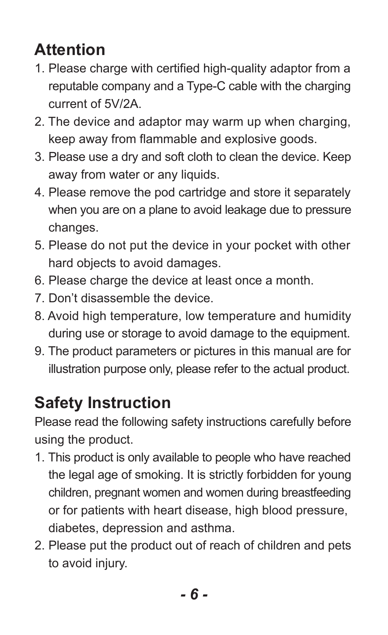## **Attention**

- 1. Please charge with certified high-quality adaptor from a reputable company and a Type-C cable with the charging current of 5V/2A.
- 2. The device and adaptor may warm up when charging, keep away from flammable and explosive goods.
- 3. Please use a dry and soft cloth to clean the device. Keep away from water or any liquids.
- 4. Please remove the pod cartridge and store it separately when you are on a plane to avoid leakage due to pressure changes.
- 5. Please do not put the device in your pocket with other hard objects to avoid damages.
- 6. Please charge the device at least once a month.
- 7. Don't disassemble the device.
- 8. Avoid high temperature, low temperature and humidity during use or storage to avoid damage to the equipment.
- 9. The product parameters or pictures in this manual are for illustration purpose only, please refer to the actual product.

## **Safety Instruction**

Please read the following safety instructions carefully before using the product.

- 1. This product is only available to people who have reached the legal age of smoking. It is strictly forbidden for young children, pregnant women and women during breastfeeding or for patients with heart disease, high blood pressure, diabetes, depression and asthma.
- 2. Please put the product out of reach of children and pets to avoid injury.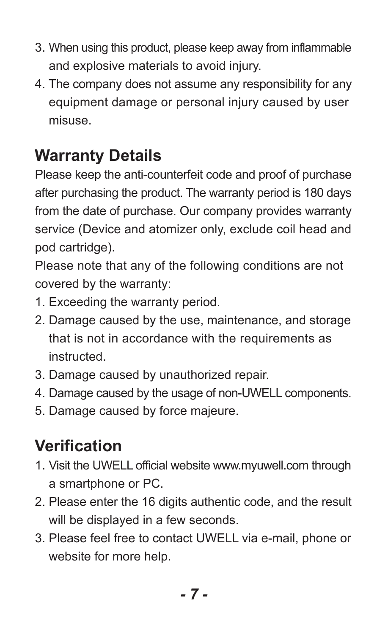- 3. When using this product, please keep away from inflammable and explosive materials to avoid injury.
- 4. The company does not assume any responsibility for any equipment damage or personal injury caused by user misuse.

## **Warranty Details**

Please keep the anti-counterfeit code and proof of purchase after purchasing the product. The warranty period is 180 days from the date of purchase. Our company provides warranty service (Device and atomizer only, exclude coil head and pod cartridge).

Please note that any of the following conditions are not covered by the warranty:

- 1. Exceeding the warranty period.
- 2. Damage caused by the use, maintenance, and storage that is not in accordance with the requirements as instructed.
- 3. Damage caused by unauthorized repair.
- 4. Damage caused by the usage of non-UWELL components.
- 5. Damage caused by force majeure.

# **Verification**

- 1. Visit the UWELL official website www.myuwell.com through a smartphone or PC.
- 2. Please enter the 16 digits authentic code, and the result will be displayed in a few seconds.
- 3. Please feel free to contact UWELL via e-mail, phone or website for more help.